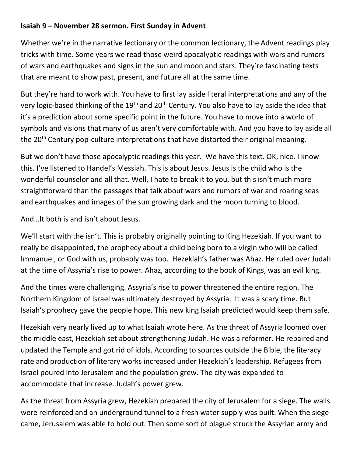## **Isaiah 9 – November 28 sermon. First Sunday in Advent**

Whether we're in the narrative lectionary or the common lectionary, the Advent readings play tricks with time. Some years we read those weird apocalyptic readings with wars and rumors of wars and earthquakes and signs in the sun and moon and stars. They're fascinating texts that are meant to show past, present, and future all at the same time.

But they're hard to work with. You have to first lay aside literal interpretations and any of the very logic-based thinking of the 19<sup>th</sup> and 20<sup>th</sup> Century. You also have to lay aside the idea that it's a prediction about some specific point in the future. You have to move into a world of symbols and visions that many of us aren't very comfortable with. And you have to lay aside all the 20<sup>th</sup> Century pop-culture interpretations that have distorted their original meaning.

But we don't have those apocalyptic readings this year. We have this text. OK, nice. I know this. I've listened to Handel's Messiah. This is about Jesus. Jesus is the child who is the wonderful counselor and all that. Well, I hate to break it to you, but this isn't much more straightforward than the passages that talk about wars and rumors of war and roaring seas and earthquakes and images of the sun growing dark and the moon turning to blood.

And…It both is and isn't about Jesus.

We'll start with the isn't. This is probably originally pointing to King Hezekiah. If you want to really be disappointed, the prophecy about a child being born to a virgin who will be called Immanuel, or God with us, probably was too. Hezekiah's father was Ahaz. He ruled over Judah at the time of Assyria's rise to power. Ahaz, according to the book of Kings, was an evil king.

And the times were challenging. Assyria's rise to power threatened the entire region. The Northern Kingdom of Israel was ultimately destroyed by Assyria. It was a scary time. But Isaiah's prophecy gave the people hope. This new king Isaiah predicted would keep them safe.

Hezekiah very nearly lived up to what Isaiah wrote here. As the threat of Assyria loomed over the middle east, Hezekiah set about strengthening Judah. He was a reformer. He repaired and updated the Temple and got rid of idols. According to sources outside the Bible, the literacy rate and production of literary works increased under Hezekiah's leadership. Refugees from Israel poured into Jerusalem and the population grew. The city was expanded to accommodate that increase. Judah's power grew.

As the threat from Assyria grew, Hezekiah prepared the city of Jerusalem for a siege. The walls were reinforced and an underground tunnel to a fresh water supply was built. When the siege came, Jerusalem was able to hold out. Then some sort of plague struck the Assyrian army and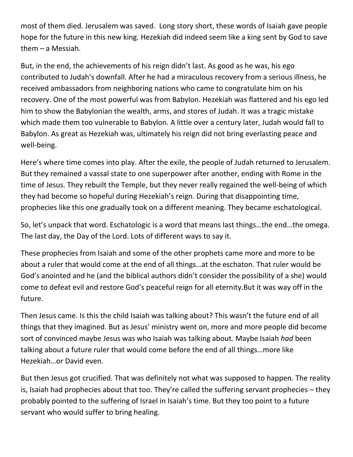most of them died. Jerusalem was saved. Long story short, these words of Isaiah gave people hope for the future in this new king. Hezekiah did indeed seem like a king sent by God to save them – a Messiah.

But, in the end, the achievements of his reign didn't last. As good as he was, his ego contributed to Judah's downfall. After he had a miraculous recovery from a serious illness, he received ambassadors from neighboring nations who came to congratulate him on his recovery. One of the most powerful was from Babylon. Hezekiah was flattered and his ego led him to show the Babylonian the wealth, arms, and stores of Judah. It was a tragic mistake which made them too vulnerable to Babylon. A little over a century later, Judah would fall to Babylon. As great as Hezekiah was, ultimately his reign did not bring everlasting peace and well-being.

Here's where time comes into play. After the exile, the people of Judah returned to Jerusalem. But they remained a vassal state to one superpower after another, ending with Rome in the time of Jesus. They rebuilt the Temple, but they never really regained the well-being of which they had become so hopeful during Hezekiah's reign. During that disappointing time, prophecies like this one gradually took on a different meaning. They became eschatological.

So, let's unpack that word. Eschatologic is a word that means last things…the end…the omega. The last day, the Day of the Lord. Lots of different ways to say it.

These prophecies from Isaiah and some of the other prophets came more and more to be about a ruler that would come at the end of all things…at the eschaton. That ruler would be God's anointed and he (and the biblical authors didn't consider the possibility of a she) would come to defeat evil and restore God's peaceful reign for all eternity.But it was way off in the future.

Then Jesus came. Is this the child Isaiah was talking about? This wasn't the future end of all things that they imagined. But as Jesus' ministry went on, more and more people did become sort of convinced maybe Jesus was who Isaiah was talking about. Maybe Isaiah *had* been talking about a future ruler that would come before the end of all things…more like Hezekiah…or David even.

But then Jesus got crucified. That was definitely not what was supposed to happen. The reality is, Isaiah had prophecies about that too. They're called the suffering servant prophecies – they probably pointed to the suffering of Israel in Isaiah's time. But they too point to a future servant who would suffer to bring healing.